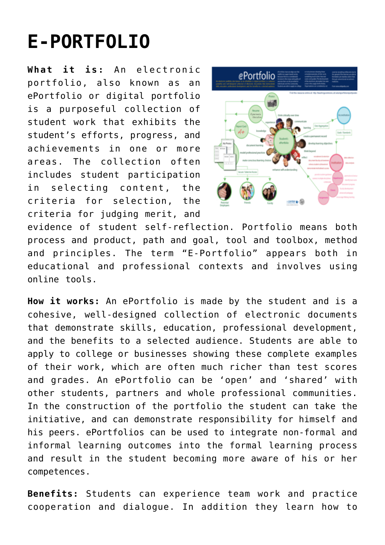## **[E-PORTFOLIO](http://entreassess.com/2018/05/29/e-portfolio/)**

**What it is:** An electronic portfolio, also known as an ePortfolio or digital portfolio is a purposeful collection of student work that exhibits the student's efforts, progress, and achievements in one or more areas. The collection often includes student participation in selecting content, the criteria for selection, the criteria for judging merit, and



evidence of student self-reflection. Portfolio means both process and product, path and goal, tool and toolbox, method and principles. The term "E-Portfolio" appears both in educational and professional contexts and involves using online tools.

**How it works:** An ePortfolio is made by the student and is a cohesive, well-designed collection of electronic documents that demonstrate skills, education, professional development, and the benefits to a selected audience. Students are able to apply to college or businesses showing these complete examples of their work, which are often much richer than test scores and grades. An ePortfolio can be 'open' and 'shared' with other students, partners and whole professional communities. In the construction of the portfolio the student can take the initiative, and can demonstrate responsibility for himself and his peers. ePortfolios can be used to integrate non-formal and informal learning outcomes into the formal learning process and result in the student becoming more aware of his or her competences.

**Benefits:** Students can experience team work and practice cooperation and dialogue. In addition they learn how to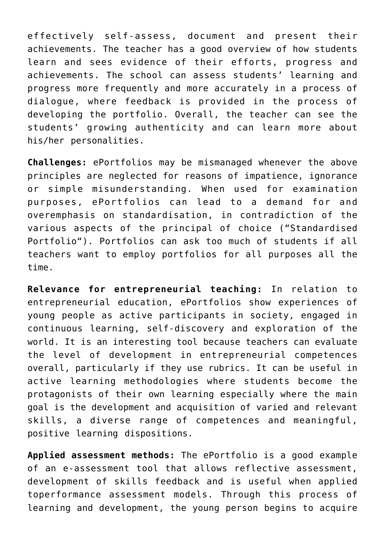effectively self-assess, document and present their achievements. The teacher has a good overview of how students learn and sees evidence of their efforts, progress and achievements. The school can assess students' learning and progress more frequently and more accurately in a process of dialogue, where feedback is provided in the process of developing the portfolio. Overall, the teacher can see the students' growing authenticity and can learn more about his/her personalities.

**Challenges:** ePortfolios may be mismanaged whenever the above principles are neglected for reasons of impatience, ignorance or simple misunderstanding. When used for examination purposes, ePortfolios can lead to a demand for and overemphasis on standardisation, in contradiction of the various aspects of the principal of choice ("Standardised Portfolio"). Portfolios can ask too much of students if all teachers want to employ portfolios for all purposes all the time.

**Relevance for entrepreneurial teaching:** In relation to entrepreneurial education, ePortfolios show experiences of young people as active participants in society, engaged in continuous learning, self-discovery and exploration of the world. It is an interesting tool because teachers can evaluate the level of development in entrepreneurial competences overall, particularly if they use rubrics. It can be useful in active learning methodologies where students become the protagonists of their own learning especially where the main goal is the development and acquisition of varied and relevant skills, a diverse range of competences and meaningful, positive learning dispositions.

**Applied assessment methods:** The ePortfolio is a good example of an e-assessment tool that allows reflective assessment, development of skills feedback and is useful when applied toperformance assessment models. Through this process of learning and development, the young person begins to acquire